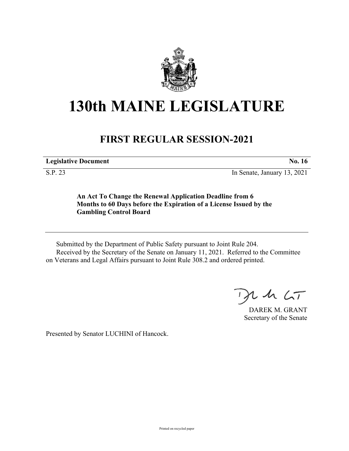

## **130th MAINE LEGISLATURE**

## **FIRST REGULAR SESSION-2021**

**Legislative Document No. 16**

S.P. 23 In Senate, January 13, 2021

**An Act To Change the Renewal Application Deadline from 6 Months to 60 Days before the Expiration of a License Issued by the Gambling Control Board**

Submitted by the Department of Public Safety pursuant to Joint Rule 204. Received by the Secretary of the Senate on January 11, 2021. Referred to the Committee on Veterans and Legal Affairs pursuant to Joint Rule 308.2 and ordered printed.

 $24.67$ 

DAREK M. GRANT Secretary of the Senate

Presented by Senator LUCHINI of Hancock.